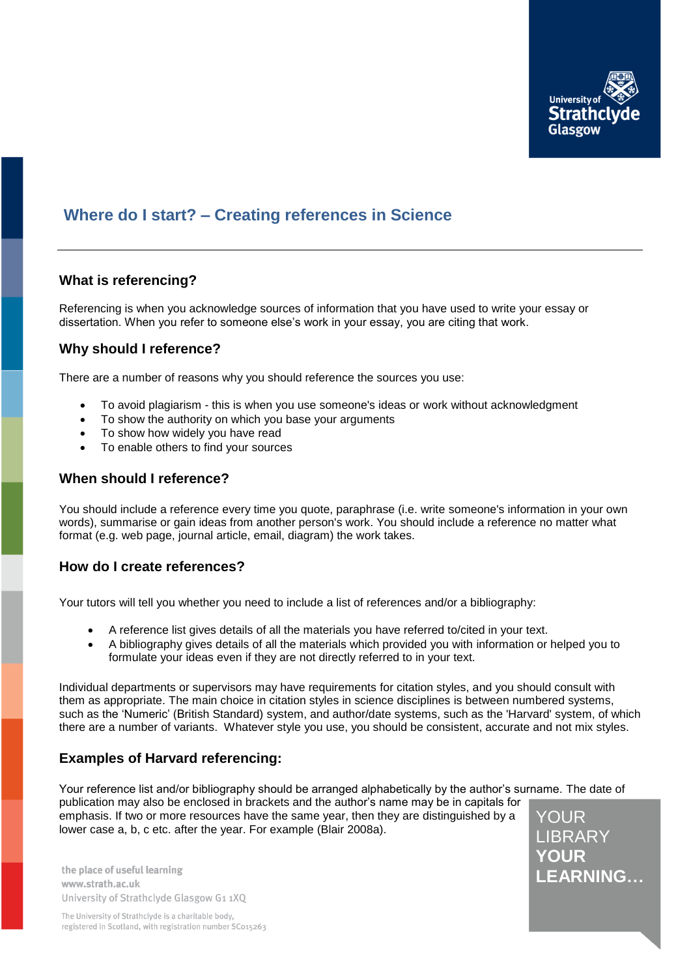

# **Where do I start? – Creating references in Science**

# **What is referencing?**

Referencing is when you acknowledge sources of information that you have used to write your essay or dissertation. When you refer to someone else's work in your essay, you are citing that work.

### **Why should I reference?**

There are a number of reasons why you should reference the sources you use:

- To avoid plagiarism this is when you use someone's ideas or work without acknowledgment
- To show the authority on which you base your arguments
- To show how widely you have read
- To enable others to find your sources

### **When should I reference?**

You should include a reference every time you quote, paraphrase (i.e. write someone's information in your own words), summarise or gain ideas from another person's work. You should include a reference no matter what format (e.g. web page, journal article, email, diagram) the work takes.

### **How do I create references?**

Your tutors will tell you whether you need to include a list of references and/or a bibliography:

- A reference list gives details of all the materials you have referred to/cited in your text.
- A bibliography gives details of all the materials which provided you with information or helped you to formulate your ideas even if they are not directly referred to in your text.

Individual departments or supervisors may have requirements for citation styles, and you should consult with them as appropriate. The main choice in citation styles in science disciplines is between numbered systems, such as the 'Numeric' (British Standard) system, and author/date systems, such as the 'Harvard' system, of which there are a number of variants. Whatever style you use, you should be consistent, accurate and not mix styles.

# **Examples of Harvard referencing:**

YOUR Your reference list and/or bibliography should be arranged alphabetically by the author's surname. The date of publication may also be enclosed in brackets and the author's name may be in capitals for emphasis. If two or more resources have the same year, then they are distinguished by a lower case a, b, c etc. after the year. For example (Blair 2008a).

the place of useful learning www.strath.ac.uk University of Strathclyde Glasgow G1 1XQ LIBRARY **YOUR LEARNING…**

The University of Strathclyde is a charitable body, registered in Scotland, with registration number SC015263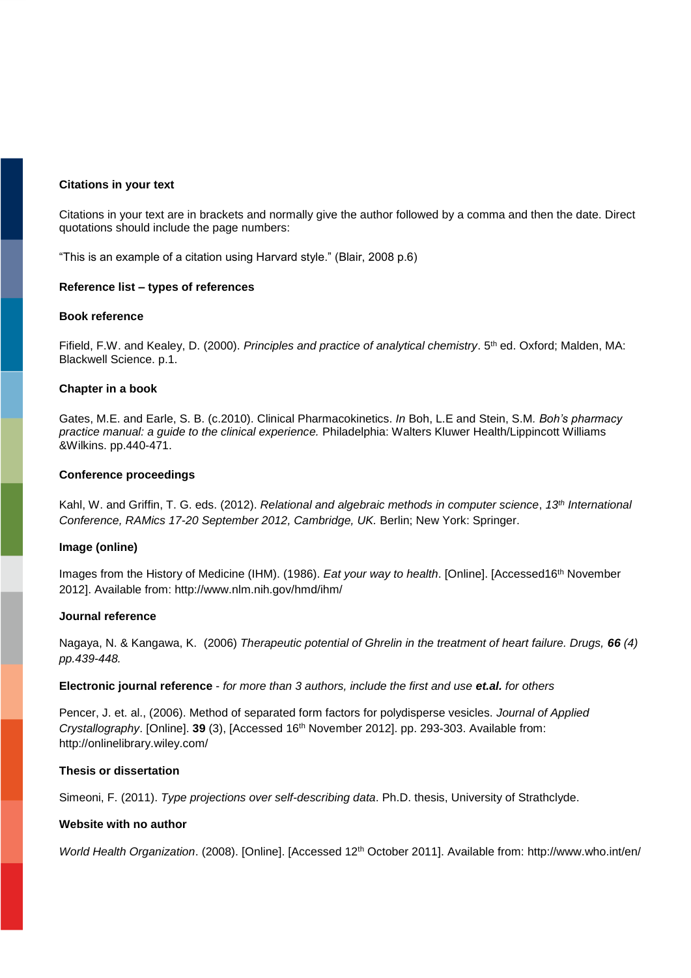### **Citations in your text**

Citations in your text are in brackets and normally give the author followed by a comma and then the date. Direct quotations should include the page numbers:

"This is an example of a citation using Harvard style." (Blair, 2008 p.6)

### **Reference list – types of references**

### **Book reference**

Fifield, F.W. and Kealey, D. (2000). *Principles and practice of analytical chemistry*. 5th ed. Oxford; Malden, MA: Blackwell Science. p.1.

### **Chapter in a book**

Gates, M.E. and Earle, S. B. (c.2010). Clinical Pharmacokinetics. *In* Boh, L.E and Stein, S.M*. Boh's pharmacy practice manual: a guide to the clinical experience.* Philadelphia: Walters Kluwer Health/Lippincott Williams &Wilkins. pp.440-471.

### **Conference proceedings**

Kahl, W. and Griffin, T. G. eds. (2012). *Relational and algebraic methods in computer science*, *13th International Conference, RAMics 17-20 September 2012, Cambridge, UK.* Berlin; New York: Springer.

### **Image (online)**

Images from the History of Medicine (IHM). (1986). *Eat your way to health*. [Online]. [Accessed16th November 2012]. Available from: http://www.nlm.nih.gov/hmd/ihm/

### **Journal reference**

Nagaya, N. & Kangawa, K. (2006) *Therapeutic potential of Ghrelin in the treatment of heart failure. Drugs, 66 (4) pp.439-448.*

### **Electronic journal reference** - *for more than 3 authors, include the first and use et.al. for others*

Pencer, J. et. al., (2006). Method of separated form factors for polydisperse vesicles. *Journal of Applied Crystallography*. [Online]. **39** (3), [Accessed 16th November 2012]. pp. 293-303. Available from: http://onlinelibrary.wiley.com/

### **Thesis or dissertation**

Simeoni, F. (2011). *Type projections over self-describing data*. Ph.D. thesis, University of Strathclyde.

### **Website with no author**

*World Health Organization*. (2008). [Online]. [Accessed 12th October 2011]. Available from: http://www.who.int/en/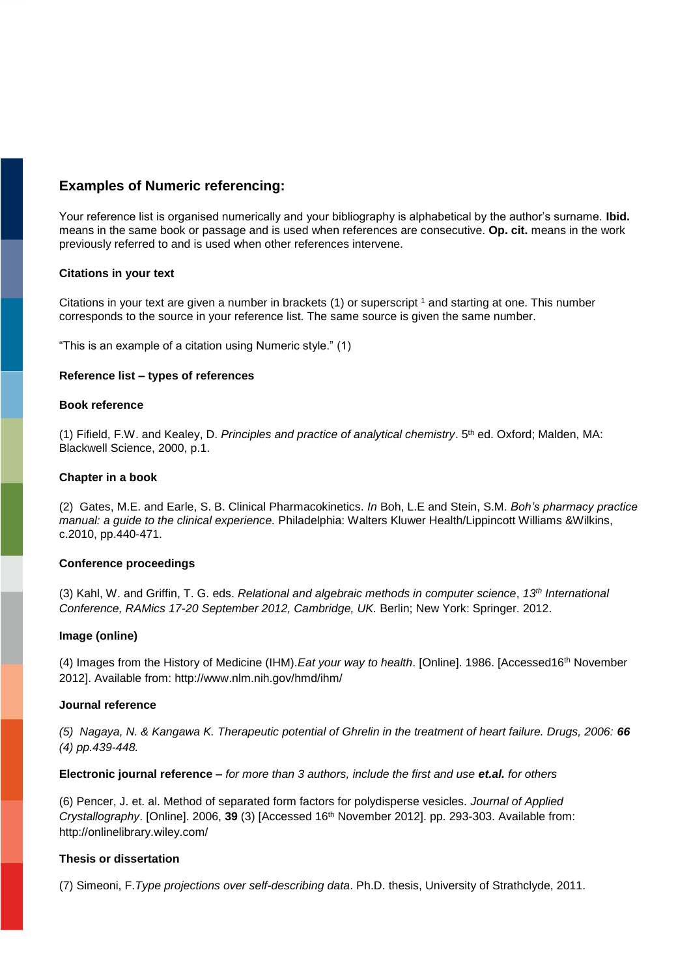# **Examples of Numeric referencing:**

Your reference list is organised numerically and your bibliography is alphabetical by the author's surname. **Ibid.** means in the same book or passage and is used when references are consecutive. **Op. cit.** means in the work previously referred to and is used when other references intervene.

### **Citations in your text**

Citations in your text are given a number in brackets  $(1)$  or superscript  $\frac{1}{1}$  and starting at one. This number corresponds to the source in your reference list. The same source is given the same number.

"This is an example of a citation using Numeric style." (1)

### **Reference list – types of references**

### **Book reference**

(1) Fifield, F.W. and Kealey, D. *Principles and practice of analytical chemistry*. 5th ed. Oxford; Malden, MA: Blackwell Science, 2000, p.1.

### **Chapter in a book**

(2) Gates, M.E. and Earle, S. B. Clinical Pharmacokinetics. *In* Boh, L.E and Stein, S.M*. Boh's pharmacy practice manual: a guide to the clinical experience.* Philadelphia: Walters Kluwer Health/Lippincott Williams &Wilkins, c.2010, pp.440-471.

### **Conference proceedings**

(3) Kahl, W. and Griffin, T. G. eds. *Relational and algebraic methods in computer science*, *13th International Conference, RAMics 17-20 September 2012, Cambridge, UK.* Berlin; New York: Springer. 2012.

### **Image (online)**

(4) Images from the History of Medicine (IHM).*Eat your way to health*. [Online]. 1986. [Accessed16th November 2012]. Available from: http://www.nlm.nih.gov/hmd/ihm/

### **Journal reference**

*(5) Nagaya, N. & Kangawa K. Therapeutic potential of Ghrelin in the treatment of heart failure. Drugs, 2006: 66 (4) pp.439-448.*

**Electronic journal reference** *– for more than 3 authors, include the first and use et.al. for others* 

(6) Pencer, J. et. al. Method of separated form factors for polydisperse vesicles. *Journal of Applied Crystallography*. [Online]. 2006, **39** (3) [Accessed 16th November 2012]. pp. 293-303. Available from: http://onlinelibrary.wiley.com/

### **Thesis or dissertation**

(7) Simeoni, F.*Type projections over self-describing data*. Ph.D. thesis, University of Strathclyde, 2011.